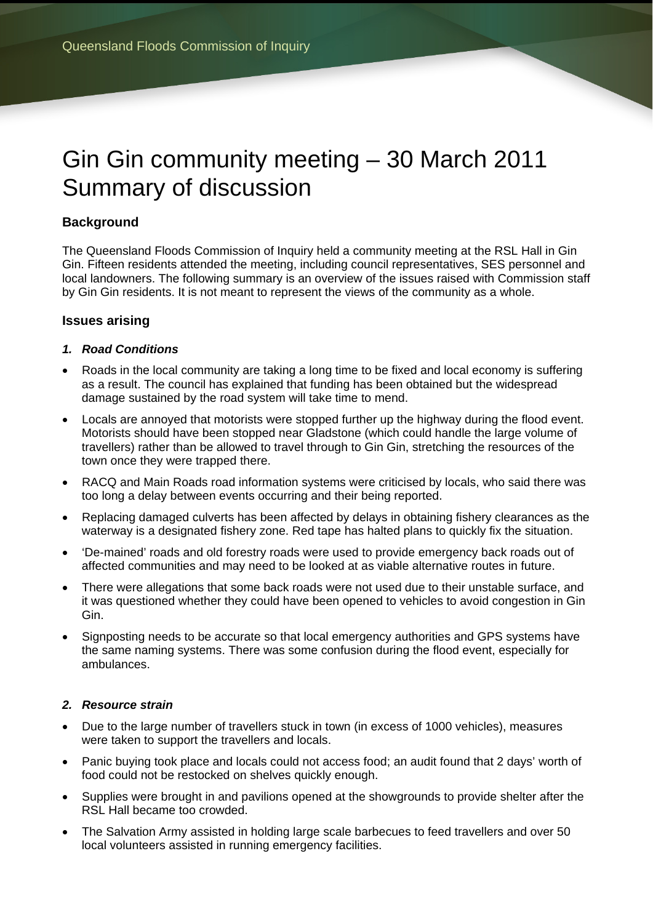# Gin Gin community meeting – 30 March 2011 Summary of discussion

## **Background**

The Queensland Floods Commission of Inquiry held a community meeting at the RSL Hall in Gin Gin. Fifteen residents attended the meeting, including council representatives, SES personnel and local landowners. The following summary is an overview of the issues raised with Commission staff by Gin Gin residents. It is not meant to represent the views of the community as a whole.

### **Issues arising**

#### *1. Road Conditions*

- Roads in the local community are taking a long time to be fixed and local economy is suffering as a result. The council has explained that funding has been obtained but the widespread damage sustained by the road system will take time to mend.
- Locals are annoyed that motorists were stopped further up the highway during the flood event. Motorists should have been stopped near Gladstone (which could handle the large volume of travellers) rather than be allowed to travel through to Gin Gin, stretching the resources of the town once they were trapped there.
- RACQ and Main Roads road information systems were criticised by locals, who said there was too long a delay between events occurring and their being reported.
- Replacing damaged culverts has been affected by delays in obtaining fishery clearances as the waterway is a designated fishery zone. Red tape has halted plans to quickly fix the situation.
- 'De-mained' roads and old forestry roads were used to provide emergency back roads out of affected communities and may need to be looked at as viable alternative routes in future.
- There were allegations that some back roads were not used due to their unstable surface, and it was questioned whether they could have been opened to vehicles to avoid congestion in Gin Gin.
- Signposting needs to be accurate so that local emergency authorities and GPS systems have the same naming systems. There was some confusion during the flood event, especially for ambulances.

#### *2. Resource strain*

- Due to the large number of travellers stuck in town (in excess of 1000 vehicles), measures were taken to support the travellers and locals.
- Panic buying took place and locals could not access food; an audit found that 2 days' worth of food could not be restocked on shelves quickly enough.
- Supplies were brought in and pavilions opened at the showgrounds to provide shelter after the RSL Hall became too crowded.
- The Salvation Army assisted in holding large scale barbecues to feed travellers and over 50 local volunteers assisted in running emergency facilities.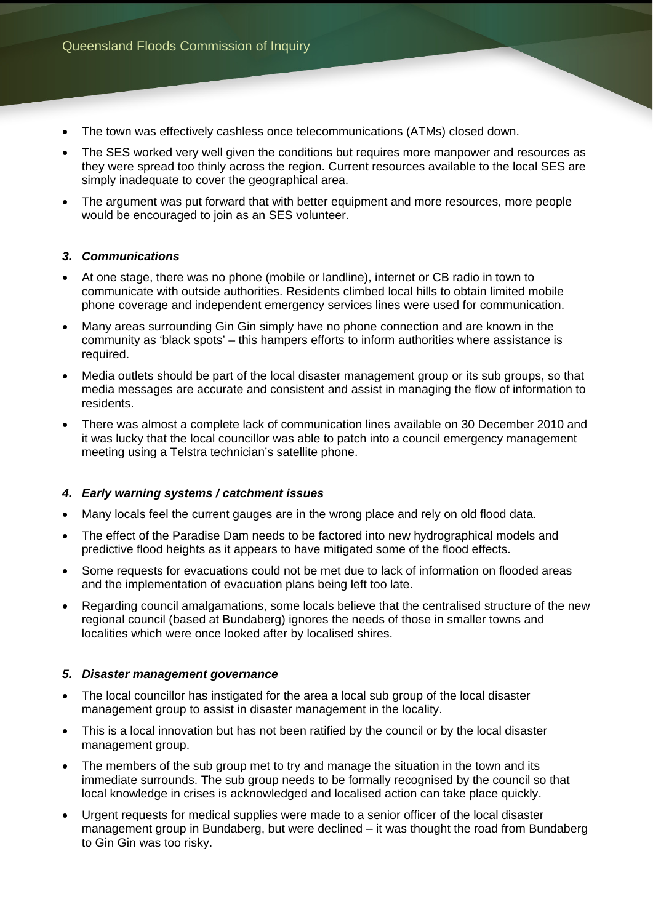- The town was effectively cashless once telecommunications (ATMs) closed down.
- The SES worked very well given the conditions but requires more manpower and resources as they were spread too thinly across the region. Current resources available to the local SES are simply inadequate to cover the geographical area.
- The argument was put forward that with better equipment and more resources, more people would be encouraged to join as an SES volunteer.

#### *3. Communications*

- At one stage, there was no phone (mobile or landline), internet or CB radio in town to communicate with outside authorities. Residents climbed local hills to obtain limited mobile phone coverage and independent emergency services lines were used for communication.
- Many areas surrounding Gin Gin simply have no phone connection and are known in the community as 'black spots' – this hampers efforts to inform authorities where assistance is required.
- Media outlets should be part of the local disaster management group or its sub groups, so that media messages are accurate and consistent and assist in managing the flow of information to residents.
- There was almost a complete lack of communication lines available on 30 December 2010 and it was lucky that the local councillor was able to patch into a council emergency management meeting using a Telstra technician's satellite phone.

#### *4. Early warning systems / catchment issues*

- Many locals feel the current gauges are in the wrong place and rely on old flood data.
- The effect of the Paradise Dam needs to be factored into new hydrographical models and predictive flood heights as it appears to have mitigated some of the flood effects.
- Some requests for evacuations could not be met due to lack of information on flooded areas and the implementation of evacuation plans being left too late.
- Regarding council amalgamations, some locals believe that the centralised structure of the new regional council (based at Bundaberg) ignores the needs of those in smaller towns and localities which were once looked after by localised shires.

#### *5. Disaster management governance*

- The local councillor has instigated for the area a local sub group of the local disaster management group to assist in disaster management in the locality.
- This is a local innovation but has not been ratified by the council or by the local disaster management group.
- The members of the sub group met to try and manage the situation in the town and its immediate surrounds. The sub group needs to be formally recognised by the council so that local knowledge in crises is acknowledged and localised action can take place quickly.
- Urgent requests for medical supplies were made to a senior officer of the local disaster management group in Bundaberg, but were declined – it was thought the road from Bundaberg to Gin Gin was too risky.